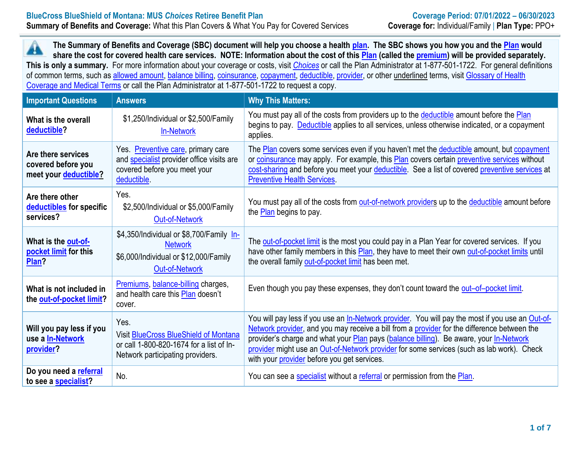A  **The Summary of Benefits and Coverage (SBC) document will help you choose a health [plan.](https://www.healthcare.gov/sbc-glossary/#plan) The SBC shows you how you and the [Plan](https://www.healthcare.gov/sbc-glossary/#plan) would share the cost for covered health care services. NOTE: Information about the cost of this [Plan](https://www.healthcare.gov/sbc-glossary/#plan) (called the [premium\)](https://www.healthcare.gov/sbc-glossary/#premium) will be provided separately. This is only a summary.** For more information about your coverage or costs, visit *[Choices](https://choices.mus.edu/)* or call the Plan Administrator at 1-877-501-1722. For general definitions of common terms, such as [allowed amount,](https://www.healthcare.gov/sbc-glossary/#allowed-amount) [balance billing,](https://www.healthcare.gov/sbc-glossary/#balance-billing) [coinsurance,](https://www.healthcare.gov/sbc-glossary/#coinsurance) [copayment,](https://www.healthcare.gov/sbc-glossary/#copayment) [deductible,](https://www.healthcare.gov/sbc-glossary/#deductible) [provider,](https://www.healthcare.gov/sbc-glossary/#provider) or other underlined terms, visit [Glossary of Health](https://www.cms.gov/CCIIO/Resources/Forms-Reports-and-Other-Resources/Downloads/Uniform-Glossary-01-2020.pdf)  [Coverage and Medical Terms](https://www.cms.gov/CCIIO/Resources/Forms-Reports-and-Other-Resources/Downloads/Uniform-Glossary-01-2020.pdf) or call the Plan Administrator at 1-877-501-1722 to request a copy.

| <b>Important Questions</b>                                        | <b>Answers</b>                                                                                                                        | <b>Why This Matters:</b>                                                                                                                                                                                                                                                                                                                                                                                                                     |
|-------------------------------------------------------------------|---------------------------------------------------------------------------------------------------------------------------------------|----------------------------------------------------------------------------------------------------------------------------------------------------------------------------------------------------------------------------------------------------------------------------------------------------------------------------------------------------------------------------------------------------------------------------------------------|
| What is the overall<br>deductible?                                | \$1,250/Individual or \$2,500/Family<br><b>In-Network</b>                                                                             | You must pay all of the costs from providers up to the deductible amount before the Plan<br>begins to pay. Deductible applies to all services, unless otherwise indicated, or a copayment<br>applies.                                                                                                                                                                                                                                        |
| Are there services<br>covered before you<br>meet your deductible? | Yes. Preventive care, primary care<br>and <b>specialist</b> provider office visits are<br>covered before you meet your<br>deductible. | The Plan covers some services even if you haven't met the deductible amount, but copayment<br>or coinsurance may apply. For example, this Plan covers certain preventive services without<br>cost-sharing and before you meet your deductible. See a list of covered preventive services at<br><b>Preventive Health Services</b>                                                                                                             |
| Are there other<br>deductibles for specific<br>services?          | Yes.<br>\$2,500/Individual or \$5,000/Family<br><b>Out-of-Network</b>                                                                 | You must pay all of the costs from out-of-network providers up to the deductible amount before<br>the <b>Plan</b> begins to pay.                                                                                                                                                                                                                                                                                                             |
| What is the out-of-<br>pocket limit for this<br>Plan?             | \$4,350/Individual or \$8,700/Family In-<br><b>Network</b><br>\$6,000/Individual or \$12,000/Family<br><b>Out-of-Network</b>          | The out-of-pocket limit is the most you could pay in a Plan Year for covered services. If you<br>have other family members in this Plan, they have to meet their own out-of-pocket limits until<br>the overall family out-of-pocket limit has been met.                                                                                                                                                                                      |
| What is not included in<br>the out-of-pocket limit?               | Premiums, balance-billing charges,<br>and health care this Plan doesn't<br>cover.                                                     | Even though you pay these expenses, they don't count toward the out-of-pocket limit.                                                                                                                                                                                                                                                                                                                                                         |
| Will you pay less if you<br>use a <b>In-Network</b><br>provider?  | Yes.<br><b>Visit BlueCross BlueShield of Montana</b><br>or call 1-800-820-1674 for a list of In-<br>Network participating providers.  | You will pay less if you use an In-Network provider. You will pay the most if you use an Out-of-<br>Network provider, and you may receive a bill from a provider for the difference between the<br>provider's charge and what your Plan pays (balance billing). Be aware, your In-Network<br>provider might use an Out-of-Network provider for some services (such as lab work). Check<br>with your <i>provider</i> before you get services. |
| Do you need a referral<br>to see a specialist?                    | No.                                                                                                                                   | You can see a specialist without a referral or permission from the Plan.                                                                                                                                                                                                                                                                                                                                                                     |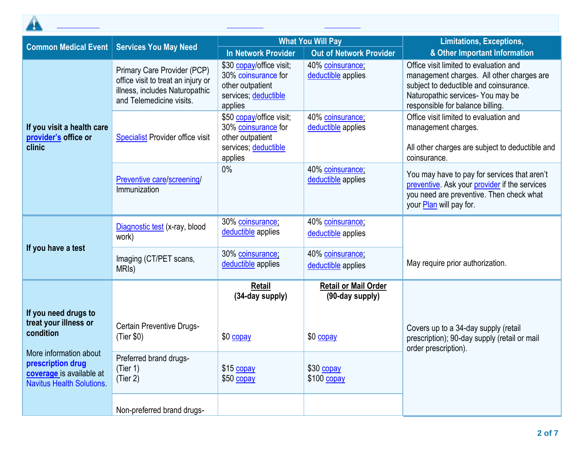

| <b>Common Medical Event</b>                                                                               | <b>Services You May Need</b>                                                                                                    | <b>What You Will Pay</b>                                                                               |                                                | <b>Limitations, Exceptions,</b>                                                                                                                                                                        |  |
|-----------------------------------------------------------------------------------------------------------|---------------------------------------------------------------------------------------------------------------------------------|--------------------------------------------------------------------------------------------------------|------------------------------------------------|--------------------------------------------------------------------------------------------------------------------------------------------------------------------------------------------------------|--|
|                                                                                                           |                                                                                                                                 | <b>In Network Provider</b>                                                                             | <b>Out of Network Provider</b>                 | & Other Important Information                                                                                                                                                                          |  |
|                                                                                                           | Primary Care Provider (PCP)<br>office visit to treat an injury or<br>illness, includes Naturopathic<br>and Telemedicine visits. | \$30 copay/office visit;<br>30% coinsurance for<br>other outpatient<br>services; deductible<br>applies | 40% coinsurance;<br>deductible applies         | Office visit limited to evaluation and<br>management charges. All other charges are<br>subject to deductible and coinsurance.<br>Naturopathic services- You may be<br>responsible for balance billing. |  |
| If you visit a health care<br>provider's office or<br>clinic                                              | <b>Specialist Provider office visit</b>                                                                                         | \$50 copay/office visit;<br>30% coinsurance for<br>other outpatient<br>services; deductible<br>applies | 40% coinsurance;<br>deductible applies         | Office visit limited to evaluation and<br>management charges.<br>All other charges are subject to deductible and<br>coinsurance.                                                                       |  |
|                                                                                                           | Preventive care/screening/<br>Immunization                                                                                      | $0\%$                                                                                                  | 40% coinsurance;<br>deductible applies         | You may have to pay for services that aren't<br>preventive. Ask your provider if the services<br>you need are preventive. Then check what<br>your Plan will pay for.                                   |  |
|                                                                                                           | Diagnostic test (x-ray, blood<br>work)                                                                                          | 30% coinsurance;<br>deductible applies                                                                 | 40% coinsurance;<br>deductible applies         |                                                                                                                                                                                                        |  |
| If you have a test                                                                                        | Imaging (CT/PET scans,<br>MRI <sub>s</sub> )                                                                                    | 30% coinsurance;<br>deductible applies                                                                 | 40% coinsurance;<br>deductible applies         | May require prior authorization.                                                                                                                                                                       |  |
|                                                                                                           |                                                                                                                                 | <b>Retail</b><br>(34-day supply)                                                                       | <b>Retail or Mail Order</b><br>(90-day supply) |                                                                                                                                                                                                        |  |
| If you need drugs to<br>treat your illness or<br>condition<br>More information about<br>prescription drug | Certain Preventive Drugs-<br>(Tier \$0)<br>Preferred brand drugs-<br>(Tier 1)                                                   | \$0 copay<br>\$15 copay                                                                                | \$0 copay<br>\$30 copay                        | Covers up to a 34-day supply (retail<br>prescription); 90-day supply (retail or mail<br>order prescription).                                                                                           |  |
| coverage is available at<br><b>Navitus Health Solutions</b>                                               | (Tier 2)<br>Non-preferred brand drugs-                                                                                          | \$50 copay                                                                                             | $$100$ copay                                   |                                                                                                                                                                                                        |  |

All **[coinsurance](https://www.healthcare.gov/sbc-glossary/#coinsurance)** costs shown in this chart are after your **[deductible](https://www.healthcare.gov/sbc-glossary/#deductible)** has been met, if a **[deductible](https://www.healthcare.gov/sbc-glossary/#deductible)** applies.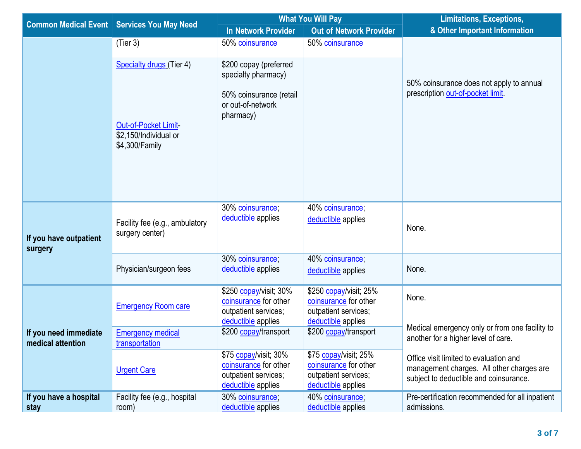| <b>Common Medical Event</b>                |                                                                 | <b>What You Will Pay</b>                                                                      |                                                                                               | <b>Limitations, Exceptions,</b>                                                                                               |
|--------------------------------------------|-----------------------------------------------------------------|-----------------------------------------------------------------------------------------------|-----------------------------------------------------------------------------------------------|-------------------------------------------------------------------------------------------------------------------------------|
|                                            | <b>Services You May Need</b>                                    | In Network Provider                                                                           | <b>Out of Network Provider</b>                                                                | & Other Important Information                                                                                                 |
|                                            | (Tier 3)                                                        | 50% coinsurance                                                                               | 50% coinsurance                                                                               |                                                                                                                               |
|                                            | <b>Specialty drugs</b> (Tier 4)                                 | \$200 copay (preferred<br>specialty pharmacy)                                                 |                                                                                               | 50% coinsurance does not apply to annual                                                                                      |
|                                            | Out-of-Pocket Limit-<br>\$2,150/Individual or<br>\$4,300/Family | 50% coinsurance (retail<br>or out-of-network<br>pharmacy)                                     |                                                                                               | prescription out-of-pocket limit.                                                                                             |
| If you have outpatient<br>surgery          | Facility fee (e.g., ambulatory<br>surgery center)               | 30% coinsurance;<br>deductible applies                                                        | 40% coinsurance;<br>deductible applies                                                        | None.                                                                                                                         |
|                                            | Physician/surgeon fees                                          | 30% coinsurance;<br>deductible applies                                                        | 40% coinsurance;<br>deductible applies                                                        | None.                                                                                                                         |
|                                            | <b>Emergency Room care</b>                                      | \$250 copay/visit; 30%<br>coinsurance for other<br>outpatient services;<br>deductible applies | \$250 copay/visit; 25%<br>coinsurance for other<br>outpatient services;<br>deductible applies | None.                                                                                                                         |
| If you need immediate<br>medical attention | <b>Emergency medical</b><br>transportation                      | \$200 copay/transport                                                                         | \$200 copay/transport                                                                         | Medical emergency only or from one facility to<br>another for a higher level of care.                                         |
|                                            | <b>Urgent Care</b>                                              | \$75 copay/visit; 30%<br>coinsurance for other<br>outpatient services;<br>deductible applies  | \$75 copay/visit; 25%<br>coinsurance for other<br>outpatient services;<br>deductible applies  | Office visit limited to evaluation and<br>management charges. All other charges are<br>subject to deductible and coinsurance. |
| If you have a hospital<br>stay             | Facility fee (e.g., hospital<br>room)                           | 30% coinsurance;<br>deductible applies                                                        | 40% coinsurance;<br>deductible applies                                                        | Pre-certification recommended for all inpatient<br>admissions.                                                                |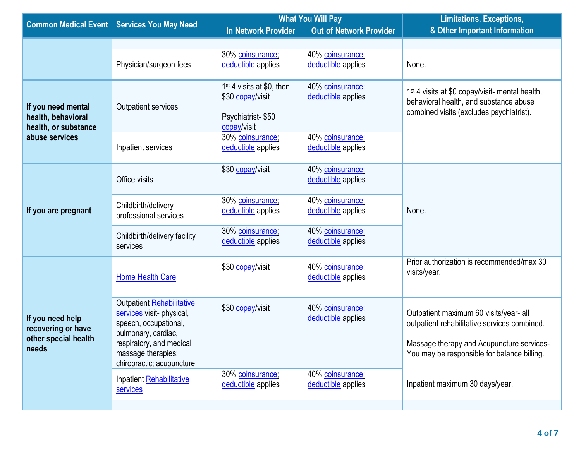| <b>Common Medical Event</b>                                             | <b>Services You May Need</b>                                                                                                                                                          | <b>What You Will Pay</b>                                                                      |                                        | <b>Limitations, Exceptions,</b>                                                                                                                                                    |  |
|-------------------------------------------------------------------------|---------------------------------------------------------------------------------------------------------------------------------------------------------------------------------------|-----------------------------------------------------------------------------------------------|----------------------------------------|------------------------------------------------------------------------------------------------------------------------------------------------------------------------------------|--|
|                                                                         |                                                                                                                                                                                       | <b>In Network Provider</b>                                                                    | <b>Out of Network Provider</b>         | & Other Important Information                                                                                                                                                      |  |
|                                                                         |                                                                                                                                                                                       |                                                                                               |                                        |                                                                                                                                                                                    |  |
|                                                                         | Physician/surgeon fees                                                                                                                                                                | 30% coinsurance;<br>deductible applies                                                        | 40% coinsurance;<br>deductible applies | None.                                                                                                                                                                              |  |
| If you need mental<br>health, behavioral<br>health, or substance        | <b>Outpatient services</b>                                                                                                                                                            | 1 <sup>st</sup> 4 visits at \$0, then<br>\$30 copay/visit<br>Psychiatrist-\$50<br>copay/visit | 40% coinsurance;<br>deductible applies | 1 <sup>st</sup> 4 visits at \$0 copay/visit- mental health,<br>behavioral health, and substance abuse<br>combined visits (excludes psychiatrist).                                  |  |
| abuse services                                                          | Inpatient services                                                                                                                                                                    | 30% coinsurance;<br>deductible applies                                                        | 40% coinsurance;<br>deductible applies |                                                                                                                                                                                    |  |
|                                                                         | Office visits                                                                                                                                                                         | \$30 copay/visit                                                                              | 40% coinsurance;<br>deductible applies |                                                                                                                                                                                    |  |
| If you are pregnant                                                     | Childbirth/delivery<br>professional services                                                                                                                                          | 30% coinsurance;<br>deductible applies                                                        | 40% coinsurance;<br>deductible applies | None.                                                                                                                                                                              |  |
|                                                                         | Childbirth/delivery facility<br>services                                                                                                                                              | 30% coinsurance;<br>deductible applies                                                        | 40% coinsurance;<br>deductible applies |                                                                                                                                                                                    |  |
|                                                                         | <b>Home Health Care</b>                                                                                                                                                               | \$30 copay/visit                                                                              | 40% coinsurance;<br>deductible applies | Prior authorization is recommended/max 30<br>visits/year.                                                                                                                          |  |
| If you need help<br>recovering or have<br>other special health<br>needs | Outpatient Rehabilitative<br>services visit- physical,<br>speech, occupational,<br>pulmonary, cardiac,<br>respiratory, and medical<br>massage therapies;<br>chiropractic; acupuncture | \$30 copay/visit                                                                              | 40% coinsurance;<br>deductible applies | Outpatient maximum 60 visits/year- all<br>outpatient rehabilitative services combined.<br>Massage therapy and Acupuncture services-<br>You may be responsible for balance billing. |  |
|                                                                         | Inpatient Rehabilitative<br><b>services</b>                                                                                                                                           | 30% coinsurance;<br>deductible applies                                                        | 40% coinsurance;<br>deductible applies | Inpatient maximum 30 days/year.                                                                                                                                                    |  |
|                                                                         |                                                                                                                                                                                       |                                                                                               |                                        |                                                                                                                                                                                    |  |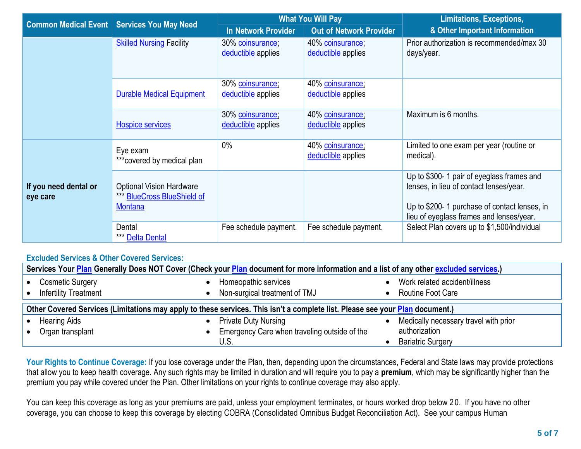| <b>Common Medical Event</b>       | <b>Services You May Need</b>                                                     |                                        | <b>What You Will Pay</b>               | <b>Limitations, Exceptions,</b>                                                                                                                                                   |  |
|-----------------------------------|----------------------------------------------------------------------------------|----------------------------------------|----------------------------------------|-----------------------------------------------------------------------------------------------------------------------------------------------------------------------------------|--|
|                                   |                                                                                  | In Network Provider                    | <b>Out of Network Provider</b>         | & Other Important Information                                                                                                                                                     |  |
|                                   | <b>Skilled Nursing Facility</b>                                                  | 30% coinsurance;<br>deductible applies | 40% coinsurance;<br>deductible applies | Prior authorization is recommended/max 30<br>days/year.                                                                                                                           |  |
|                                   | <b>Durable Medical Equipment</b>                                                 | 30% coinsurance;<br>deductible applies | 40% coinsurance;<br>deductible applies |                                                                                                                                                                                   |  |
|                                   | <b>Hospice services</b>                                                          | 30% coinsurance;<br>deductible applies | 40% coinsurance;<br>deductible applies | Maximum is 6 months.                                                                                                                                                              |  |
| If you need dental or<br>eye care | Eye exam<br>*** covered by medical plan                                          | 0%                                     | 40% coinsurance;<br>deductible applies | Limited to one exam per year (routine or<br>medical).                                                                                                                             |  |
|                                   | <b>Optional Vision Hardware</b><br>*** BlueCross BlueShield of<br><b>Montana</b> |                                        |                                        | Up to \$300- 1 pair of eyeglass frames and<br>lenses, in lieu of contact lenses/year.<br>Up to \$200-1 purchase of contact lenses, in<br>lieu of eyeglass frames and lenses/year. |  |
|                                   | Dental<br>*** Delta Dental                                                       | Fee schedule payment.                  | Fee schedule payment.                  | Select Plan covers up to \$1,500/individual                                                                                                                                       |  |

## **Excluded Services & Other Covered Services:**

|                                                                                                                              | Services Your Plan Generally Does NOT Cover (Check your Plan document for more information and a list of any other excluded services.) |           |                                                       |  |                                                    |  |
|------------------------------------------------------------------------------------------------------------------------------|----------------------------------------------------------------------------------------------------------------------------------------|-----------|-------------------------------------------------------|--|----------------------------------------------------|--|
|                                                                                                                              | <b>Cosmetic Surgery</b><br><b>Infertility Treatment</b>                                                                                |           | Homeopathic services<br>Non-surgical treatment of TMJ |  | Work related accident/illness<br>Routine Foot Care |  |
| Other Covered Services (Limitations may apply to these services. This isn't a complete list. Please see your Plan document.) |                                                                                                                                        |           |                                                       |  |                                                    |  |
|                                                                                                                              | <b>Hearing Aids</b>                                                                                                                    | $\bullet$ | <b>Private Duty Nursing</b>                           |  | Medically necessary travel with prior              |  |
|                                                                                                                              | Organ transplant                                                                                                                       |           | Emergency Care when traveling outside of the          |  | authorization                                      |  |
|                                                                                                                              |                                                                                                                                        |           | U.S.                                                  |  | <b>Bariatric Surgery</b>                           |  |

Your Rights to Continue Coverage: If you lose coverage under the Plan, then, depending upon the circumstances, Federal and State laws may provide protections that allow you to keep health coverage. Any such rights may be limited in duration and will require you to pay a **premium**, which may be significantly higher than the premium you pay while covered under the Plan. Other limitations on your rights to continue coverage may also apply.

 You can keep this coverage as long as your premiums are paid, unless your employment terminates, or hours worked drop below 2 0. If you have no other coverage, you can choose to keep this coverage by electing COBRA (Consolidated Omnibus Budget Reconciliation Act). See your campus Human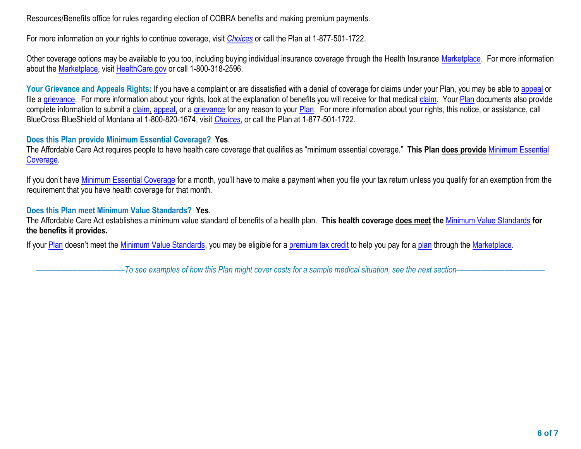Resources/Benefits office for rules regarding election of COBRA benefits and making premium payments.

For more information on your rights to continue coverage, visit *[Choices](https://choices.mus.edu/)* or call the Plan at 1-877-501-1722.

Other coverage options may be available to you too, including buying individual insurance coverage through the Health Insurance [Marketplace.](https://www.healthcare.gov/sbc-glossary/#marketplace) For more information about the [Marketplace,](https://www.healthcare.gov/sbc-glossary/#marketplace) visit [HealthCare.gov](http://www.healthcare.gov/) or call 1-800-318-2596.

Your Grievance and Appeals Rights: If you have a complaint or are dissatisfied with a denial of coverage for claims under your Plan, you may be able to [appeal](https://www.healthcare.gov/sbc-glossary/#appeal) or file a [grievance.](https://www.healthcare.gov/sbc-glossary/#grievance) For more information about your rights, look at the explanation of benefits you will receive for that medical [claim.](https://www.healthcare.gov/sbc-glossary/#claim) Your [Plan](https://www.healthcare.gov/sbc-glossary/#plan) documents also provide complete information to submit a [claim,](https://www.healthcare.gov/sbc-glossary/#claim) [appeal,](https://www.healthcare.gov/sbc-glossary/#appeal) or a [grievance](https://www.healthcare.gov/sbc-glossary/#grievance) for any reason to your [Plan.](http://plan/) For more information about your rights, this notice, or assistance, call BlueCross BlueShield of Montana at 1-800-820-1674, visit *[Choices](https://choices.mus.edu/)*, or call the Plan at 1-877-501-1722.

## **Does this Plan provide Minimum Essential Coverage? Yes**.

The Affordable Care Act requires people to have health care coverage that qualifies as "minimum essential coverage." **This Plan does provide** [Minimum Essential](https://www.healthcare.gov/sbc-glossary/#minimum-essential-coverage)  [Coverage.](https://www.healthcare.gov/sbc-glossary/#minimum-essential-coverage)

If you don't have *Minimum Essential Coverage* for a month, you'll have to make a payment when you file your tax return unless you qualify for an exemption from the requirement that you have health coverage for that month.

## **Does this Plan meet Minimum Value Standards? Yes**.

 The Affordable Care Act establishes a minimum value standard of benefits of a health plan. **This health coverage does meet the** [Minimum Value Standards](https://www.healthcare.gov/sbc-glossary/#minimum-value-standard) **for the benefits it provides.** 

If your <u>Plan</u> doesn't meet the <u>Minimum Value Standards</u>, you may be eligible for a <u>premium tax credit</u> to help you pay for a <u>plan</u> through the <u>Marketplace</u>.

––––––––––––––––––––––*To see examples of how this Plan might cover costs for a sample medical situation, see the next section–––––––––––*–––––––––––